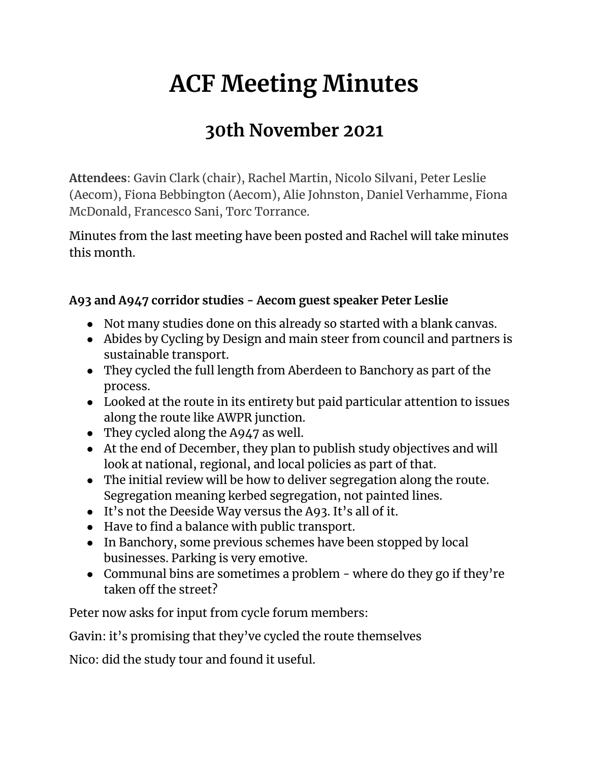# **ACF Meeting Minutes**

# **30th November 2021**

**Attendees**: Gavin Clark (chair), Rachel Martin, Nicolo Silvani, Peter Leslie (Aecom), Fiona Bebbington (Aecom), Alie Johnston, Daniel Verhamme, Fiona McDonald, Francesco Sani, Torc Torrance.

Minutes from the last meeting have been posted and Rachel will take minutes this month.

### **A93 and A947 corridor studies - Aecom guest speaker Peter Leslie**

- Not many studies done on this already so started with a blank canvas.
- Abides by Cycling by Design and main steer from council and partners is sustainable transport.
- They cycled the full length from Aberdeen to Banchory as part of the process.
- Looked at the route in its entirety but paid particular attention to issues along the route like AWPR junction.
- They cycled along the  $A947$  as well.
- At the end of December, they plan to publish study objectives and will look at national, regional, and local policies as part of that.
- The initial review will be how to deliver segregation along the route. Segregation meaning kerbed segregation, not painted lines.
- It's not the Deeside Way versus the A93. It's all of it.
- Have to find a balance with public transport.
- In Banchory, some previous schemes have been stopped by local businesses. Parking is very emotive.
- Communal bins are sometimes a problem where do they go if they're taken off the street?

Peter now asks for input from cycle forum members:

Gavin: it's promising that they've cycled the route themselves

Nico: did the study tour and found it useful.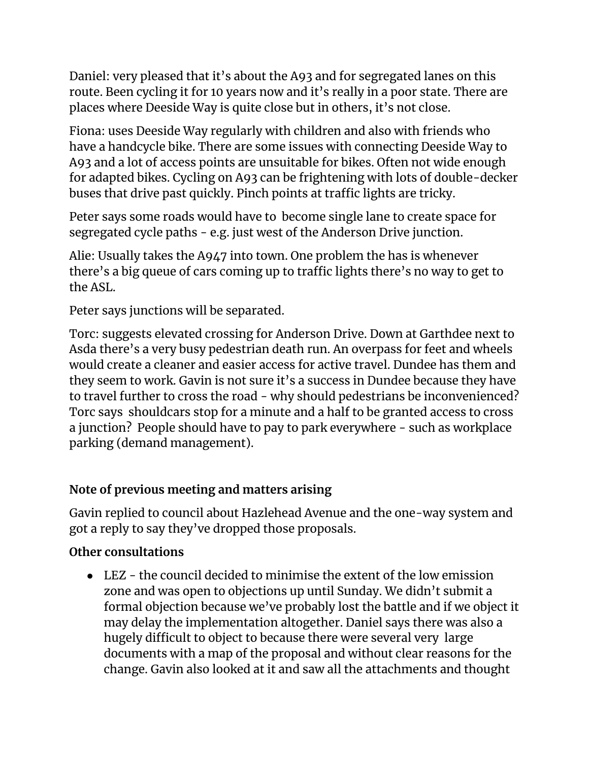Daniel: very pleased that it's about the A93 and for segregated lanes on this route. Been cycling it for 10 years now and it's really in a poor state. There are places where Deeside Way is quite close but in others, it's not close.

Fiona: uses Deeside Way regularly with children and also with friends who have a handcycle bike. There are some issues with connecting Deeside Way to A93 and a lot of access points are unsuitable for bikes. Often not wide enough for adapted bikes. Cycling on A93 can be frightening with lots of double-decker buses that drive past quickly. Pinch points at traffic lights are tricky.

Peter says some roads would have to become single lane to create space for segregated cycle paths - e.g. just west of the Anderson Drive junction.

Alie: Usually takes the A947 into town. One problem the has is whenever there's a big queue of cars coming up to traffic lights there's no way to get to the ASL.

Peter says junctions will be separated.

Torc: suggests elevated crossing for Anderson Drive. Down at Garthdee next to Asda there's a very busy pedestrian death run. An overpass for feet and wheels would create a cleaner and easier access for active travel. Dundee has them and they seem to work. Gavin is not sure it's a success in Dundee because they have to travel further to cross the road - why should pedestrians be inconvenienced? Torc says shouldcars stop for a minute and a half to be granted access to cross a junction? People should have to pay to park everywhere - such as workplace parking (demand management).

#### **Note of previous meeting and matters arising**

Gavin replied to council about Hazlehead Avenue and the one-way system and got a reply to say they've dropped those proposals.

#### **Other consultations**

● LEZ - the council decided to minimise the extent of the low emission zone and was open to objections up until Sunday. We didn't submit a formal objection because we've probably lost the battle and if we object it may delay the implementation altogether. Daniel says there was also a hugely difficult to object to because there were several very large documents with a map of the proposal and without clear reasons for the change. Gavin also looked at it and saw all the attachments and thought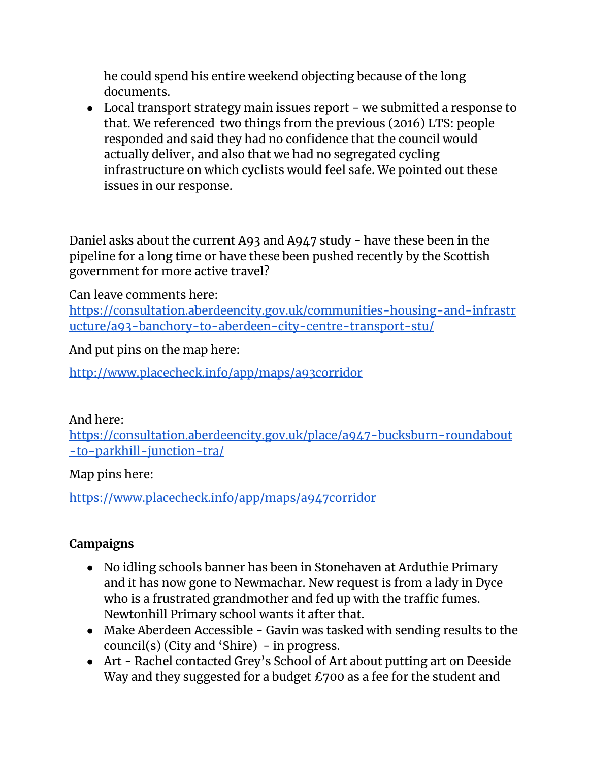he could spend his entire weekend objecting because of the long documents.

• Local transport strategy main issues report - we submitted a response to that. We referenced two things from the previous (2016) LTS: people responded and said they had no confidence that the council would actually deliver, and also that we had no segregated cycling infrastructure on which cyclists would feel safe. We pointed out these issues in our response.

Daniel asks about the current A93 and A947 study - have these been in the pipeline for a long time or have these been pushed recently by the Scottish government for more active travel?

Can leave comments here:

[https://consultation.aberdeencity.gov.uk/communities-housing-and-infrastr](https://consultation.aberdeencity.gov.uk/communities-housing-and-infrastructure/a93-banchory-to-aberdeen-city-centre-transport-stu/) [ucture/a93-banchory-to-aberdeen-city-centre-transport-stu/](https://consultation.aberdeencity.gov.uk/communities-housing-and-infrastructure/a93-banchory-to-aberdeen-city-centre-transport-stu/)

And put pins on the map here:

<http://www.placecheck.info/app/maps/a93corridor>

#### And here:

[https://consultation.aberdeencity.gov.uk/place/a947-bucksburn-roundabout](https://consultation.aberdeencity.gov.uk/place/a947-bucksburn-roundabout-to-parkhill-junction-tra/) [-to-parkhill-junction-tra/](https://consultation.aberdeencity.gov.uk/place/a947-bucksburn-roundabout-to-parkhill-junction-tra/)

Map pins here:

<https://www.placecheck.info/app/maps/a947corridor>

## **Campaigns**

- No idling schools banner has been in Stonehaven at Arduthie Primary and it has now gone to Newmachar. New request is from a lady in Dyce who is a frustrated grandmother and fed up with the traffic fumes. Newtonhill Primary school wants it after that.
- Make Aberdeen Accessible Gavin was tasked with sending results to the council(s) (City and 'Shire) - in progress.
- Art Rachel contacted Grey's School of Art about putting art on Deeside Way and they suggested for a budget £700 as a fee for the student and